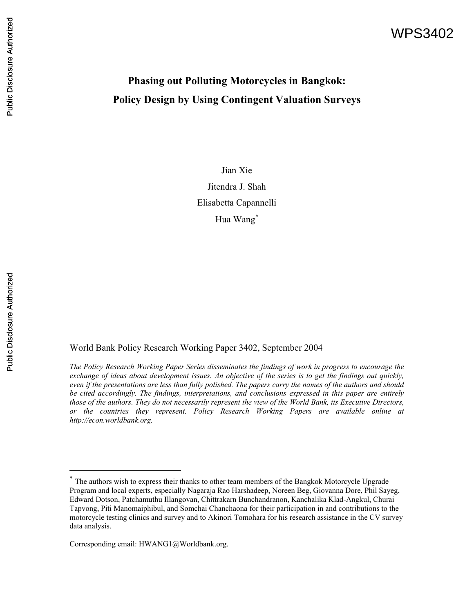# WPS3402

# **Phasing out Polluting Motorcycles in Bangkok: Policy Design by Using Contingent Valuation Surveys**

Jian Xie Jitendra J. Shah Elisabetta Capannelli Hua Wang<sup>∗</sup>

 $\overline{a}$ 

World Bank Policy Research Working Paper 3402, September 2004

*The Policy Research Working Paper Series disseminates the findings of work in progress to encourage the exchange of ideas about development issues. An objective of the series is to get the findings out quickly, even if the presentations are less than fully polished. The papers carry the names of the authors and should be cited accordingly. The findings, interpretations, and conclusions expressed in this paper are entirely those of the authors. They do not necessarily represent the view of the World Bank, its Executive Directors, or the countries they represent. Policy Research Working Papers are available online at http://econ.worldbank.org.* 

<sup>∗</sup> The authors wish to express their thanks to other team members of the Bangkok Motorcycle Upgrade Program and local experts, especially Nagaraja Rao Harshadeep, Noreen Beg, Giovanna Dore, Phil Sayeg, Edward Dotson, Patchamuthu Illangovan, Chittrakarn Bunchandranon, Kanchalika Klad-Angkul, Churai Tapvong, Piti Manomaiphibul, and Somchai Chanchaona for their participation in and contributions to the motorcycle testing clinics and survey and to Akinori Tomohara for his research assistance in the CV survey data analysis.

Corresponding email: HWANG1@Worldbank.org.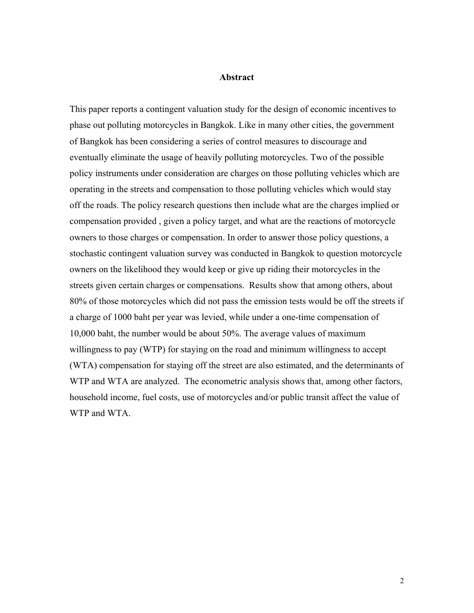### **Abstract**

This paper reports a contingent valuation study for the design of economic incentives to phase out polluting motorcycles in Bangkok. Like in many other cities, the government of Bangkok has been considering a series of control measures to discourage and eventually eliminate the usage of heavily polluting motorcycles. Two of the possible policy instruments under consideration are charges on those polluting vehicles which are operating in the streets and compensation to those polluting vehicles which would stay off the roads. The policy research questions then include what are the charges implied or compensation provided , given a policy target, and what are the reactions of motorcycle owners to those charges or compensation. In order to answer those policy questions, a stochastic contingent valuation survey was conducted in Bangkok to question motorcycle owners on the likelihood they would keep or give up riding their motorcycles in the streets given certain charges or compensations. Results show that among others, about 80% of those motorcycles which did not pass the emission tests would be off the streets if a charge of 1000 baht per year was levied, while under a one-time compensation of 10,000 baht, the number would be about 50%. The average values of maximum willingness to pay (WTP) for staying on the road and minimum willingness to accept (WTA) compensation for staying off the street are also estimated, and the determinants of WTP and WTA are analyzed. The econometric analysis shows that, among other factors, household income, fuel costs, use of motorcycles and/or public transit affect the value of WTP and WTA.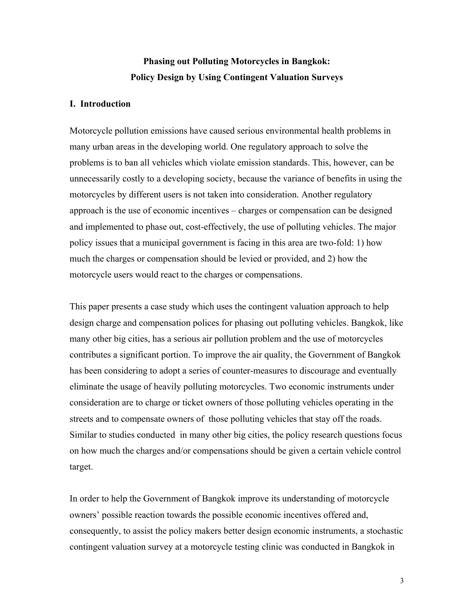# **Phasing out Polluting Motorcycles in Bangkok: Policy Design by Using Contingent Valuation Surveys**

# **I. Introduction**

Motorcycle pollution emissions have caused serious environmental health problems in many urban areas in the developing world. One regulatory approach to solve the problems is to ban all vehicles which violate emission standards. This, however, can be unnecessarily costly to a developing society, because the variance of benefits in using the motorcycles by different users is not taken into consideration. Another regulatory approach is the use of economic incentives – charges or compensation can be designed and implemented to phase out, cost-effectively, the use of polluting vehicles. The major policy issues that a municipal government is facing in this area are two-fold: 1) how much the charges or compensation should be levied or provided, and 2) how the motorcycle users would react to the charges or compensations.

This paper presents a case study which uses the contingent valuation approach to help design charge and compensation polices for phasing out polluting vehicles. Bangkok, like many other big cities, has a serious air pollution problem and the use of motorcycles contributes a significant portion. To improve the air quality, the Government of Bangkok has been considering to adopt a series of counter-measures to discourage and eventually eliminate the usage of heavily polluting motorcycles. Two economic instruments under consideration are to charge or ticket owners of those polluting vehicles operating in the streets and to compensate owners of those polluting vehicles that stay off the roads. Similar to studies conducted in many other big cities, the policy research questions focus on how much the charges and/or compensations should be given a certain vehicle control target.

In order to help the Government of Bangkok improve its understanding of motorcycle owners' possible reaction towards the possible economic incentives offered and, consequently, to assist the policy makers better design economic instruments, a stochastic contingent valuation survey at a motorcycle testing clinic was conducted in Bangkok in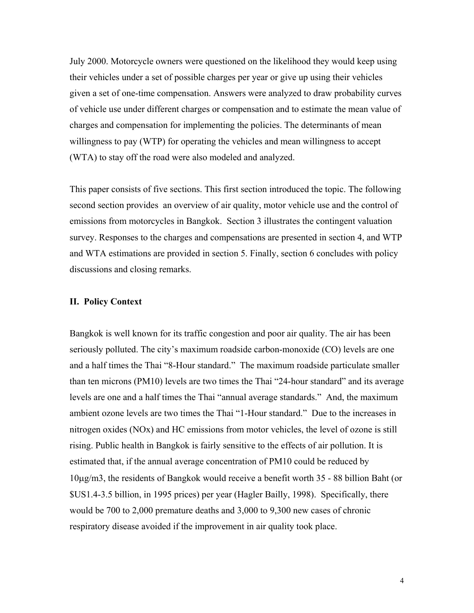July 2000. Motorcycle owners were questioned on the likelihood they would keep using their vehicles under a set of possible charges per year or give up using their vehicles given a set of one-time compensation. Answers were analyzed to draw probability curves of vehicle use under different charges or compensation and to estimate the mean value of charges and compensation for implementing the policies. The determinants of mean willingness to pay (WTP) for operating the vehicles and mean willingness to accept (WTA) to stay off the road were also modeled and analyzed.

This paper consists of five sections. This first section introduced the topic. The following second section provides an overview of air quality, motor vehicle use and the control of emissions from motorcycles in Bangkok. Section 3 illustrates the contingent valuation survey. Responses to the charges and compensations are presented in section 4, and WTP and WTA estimations are provided in section 5. Finally, section 6 concludes with policy discussions and closing remarks.

# **II. Policy Context**

Bangkok is well known for its traffic congestion and poor air quality. The air has been seriously polluted. The city's maximum roadside carbon-monoxide (CO) levels are one and a half times the Thai "8-Hour standard." The maximum roadside particulate smaller than ten microns (PM10) levels are two times the Thai "24-hour standard" and its average levels are one and a half times the Thai "annual average standards." And, the maximum ambient ozone levels are two times the Thai "1-Hour standard." Due to the increases in nitrogen oxides (NOx) and HC emissions from motor vehicles, the level of ozone is still rising. Public health in Bangkok is fairly sensitive to the effects of air pollution. It is estimated that, if the annual average concentration of PM10 could be reduced by 10µg/m3, the residents of Bangkok would receive a benefit worth 35 - 88 billion Baht (or \$US1.4-3.5 billion, in 1995 prices) per year (Hagler Bailly, 1998). Specifically, there would be 700 to 2,000 premature deaths and 3,000 to 9,300 new cases of chronic respiratory disease avoided if the improvement in air quality took place.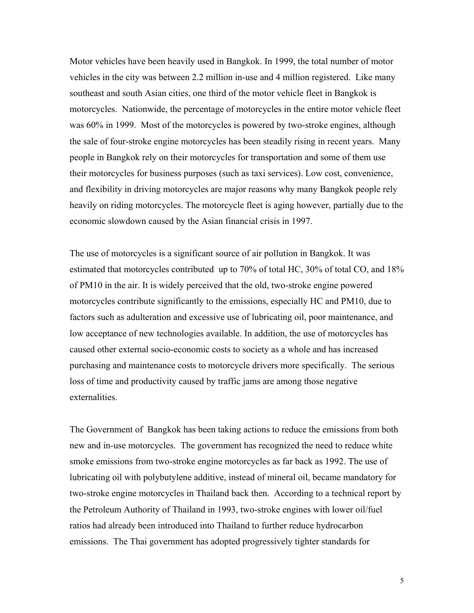Motor vehicles have been heavily used in Bangkok. In 1999, the total number of motor vehicles in the city was between 2.2 million in-use and 4 million registered. Like many southeast and south Asian cities, one third of the motor vehicle fleet in Bangkok is motorcycles. Nationwide, the percentage of motorcycles in the entire motor vehicle fleet was 60% in 1999. Most of the motorcycles is powered by two-stroke engines, although the sale of four-stroke engine motorcycles has been steadily rising in recent years. Many people in Bangkok rely on their motorcycles for transportation and some of them use their motorcycles for business purposes (such as taxi services). Low cost, convenience, and flexibility in driving motorcycles are major reasons why many Bangkok people rely heavily on riding motorcycles. The motorcycle fleet is aging however, partially due to the economic slowdown caused by the Asian financial crisis in 1997.

The use of motorcycles is a significant source of air pollution in Bangkok. It was estimated that motorcycles contributed up to 70% of total HC, 30% of total CO, and 18% of PM10 in the air. It is widely perceived that the old, two-stroke engine powered motorcycles contribute significantly to the emissions, especially HC and PM10, due to factors such as adulteration and excessive use of lubricating oil, poor maintenance, and low acceptance of new technologies available. In addition, the use of motorcycles has caused other external socio-economic costs to society as a whole and has increased purchasing and maintenance costs to motorcycle drivers more specifically. The serious loss of time and productivity caused by traffic jams are among those negative externalities.

The Government of Bangkok has been taking actions to reduce the emissions from both new and in-use motorcycles. The government has recognized the need to reduce white smoke emissions from two-stroke engine motorcycles as far back as 1992. The use of lubricating oil with polybutylene additive, instead of mineral oil, became mandatory for two-stroke engine motorcycles in Thailand back then. According to a technical report by the Petroleum Authority of Thailand in 1993, two-stroke engines with lower oil/fuel ratios had already been introduced into Thailand to further reduce hydrocarbon emissions. The Thai government has adopted progressively tighter standards for

5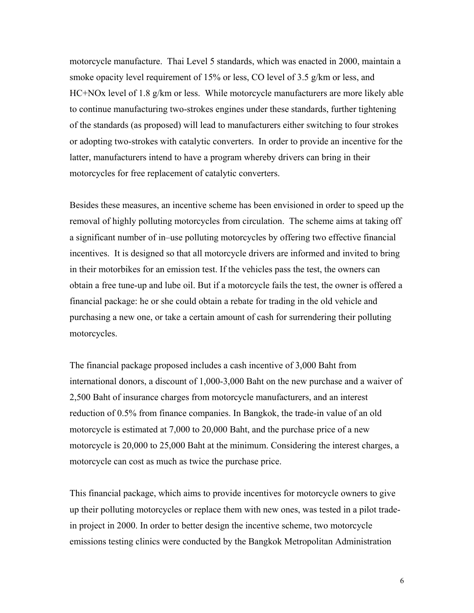motorcycle manufacture. Thai Level 5 standards, which was enacted in 2000, maintain a smoke opacity level requirement of 15% or less, CO level of 3.5 g/km or less, and HC+NOx level of 1.8 g/km or less. While motorcycle manufacturers are more likely able to continue manufacturing two-strokes engines under these standards, further tightening of the standards (as proposed) will lead to manufacturers either switching to four strokes or adopting two-strokes with catalytic converters. In order to provide an incentive for the latter, manufacturers intend to have a program whereby drivers can bring in their motorcycles for free replacement of catalytic converters.

Besides these measures, an incentive scheme has been envisioned in order to speed up the removal of highly polluting motorcycles from circulation. The scheme aims at taking off a significant number of in–use polluting motorcycles by offering two effective financial incentives. It is designed so that all motorcycle drivers are informed and invited to bring in their motorbikes for an emission test. If the vehicles pass the test, the owners can obtain a free tune-up and lube oil. But if a motorcycle fails the test, the owner is offered a financial package: he or she could obtain a rebate for trading in the old vehicle and purchasing a new one, or take a certain amount of cash for surrendering their polluting motorcycles.

The financial package proposed includes a cash incentive of 3,000 Baht from international donors, a discount of 1,000-3,000 Baht on the new purchase and a waiver of 2,500 Baht of insurance charges from motorcycle manufacturers, and an interest reduction of 0.5% from finance companies. In Bangkok, the trade-in value of an old motorcycle is estimated at 7,000 to 20,000 Baht, and the purchase price of a new motorcycle is 20,000 to 25,000 Baht at the minimum. Considering the interest charges, a motorcycle can cost as much as twice the purchase price.

This financial package, which aims to provide incentives for motorcycle owners to give up their polluting motorcycles or replace them with new ones, was tested in a pilot tradein project in 2000. In order to better design the incentive scheme, two motorcycle emissions testing clinics were conducted by the Bangkok Metropolitan Administration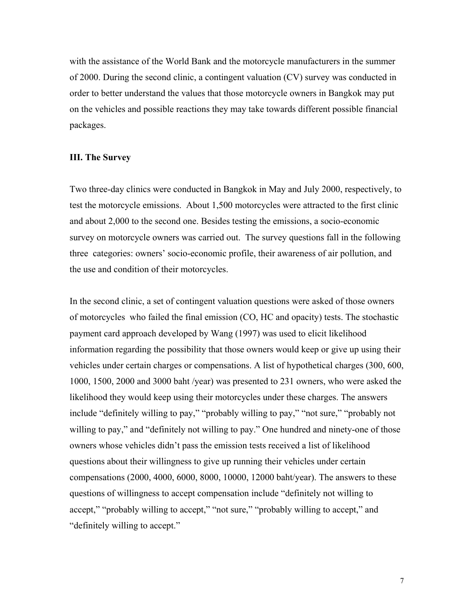with the assistance of the World Bank and the motorcycle manufacturers in the summer of 2000. During the second clinic, a contingent valuation (CV) survey was conducted in order to better understand the values that those motorcycle owners in Bangkok may put on the vehicles and possible reactions they may take towards different possible financial packages.

## **III. The Survey**

Two three-day clinics were conducted in Bangkok in May and July 2000, respectively, to test the motorcycle emissions. About 1,500 motorcycles were attracted to the first clinic and about 2,000 to the second one. Besides testing the emissions, a socio-economic survey on motorcycle owners was carried out. The survey questions fall in the following three categories: owners' socio-economic profile, their awareness of air pollution, and the use and condition of their motorcycles.

In the second clinic, a set of contingent valuation questions were asked of those owners of motorcycles who failed the final emission (CO, HC and opacity) tests. The stochastic payment card approach developed by Wang (1997) was used to elicit likelihood information regarding the possibility that those owners would keep or give up using their vehicles under certain charges or compensations. A list of hypothetical charges (300, 600, 1000, 1500, 2000 and 3000 baht /year) was presented to 231 owners, who were asked the likelihood they would keep using their motorcycles under these charges. The answers include "definitely willing to pay," "probably willing to pay," "not sure," "probably not willing to pay," and "definitely not willing to pay." One hundred and ninety-one of those owners whose vehicles didn't pass the emission tests received a list of likelihood questions about their willingness to give up running their vehicles under certain compensations (2000, 4000, 6000, 8000, 10000, 12000 baht/year). The answers to these questions of willingness to accept compensation include "definitely not willing to accept," "probably willing to accept," "not sure," "probably willing to accept," and "definitely willing to accept."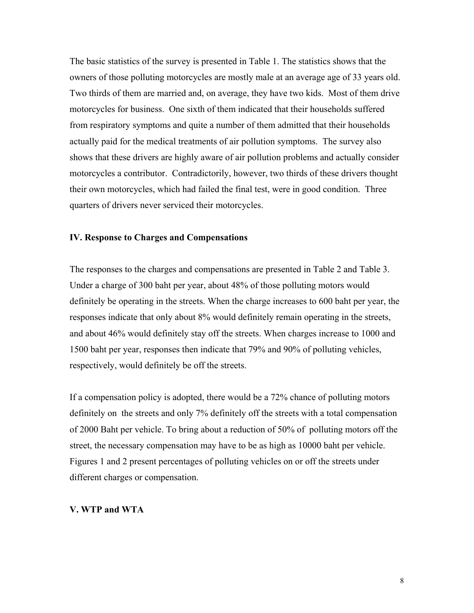The basic statistics of the survey is presented in Table 1. The statistics shows that the owners of those polluting motorcycles are mostly male at an average age of 33 years old. Two thirds of them are married and, on average, they have two kids. Most of them drive motorcycles for business. One sixth of them indicated that their households suffered from respiratory symptoms and quite a number of them admitted that their households actually paid for the medical treatments of air pollution symptoms. The survey also shows that these drivers are highly aware of air pollution problems and actually consider motorcycles a contributor. Contradictorily, however, two thirds of these drivers thought their own motorcycles, which had failed the final test, were in good condition. Three quarters of drivers never serviced their motorcycles.

# **IV. Response to Charges and Compensations**

The responses to the charges and compensations are presented in Table 2 and Table 3. Under a charge of 300 baht per year, about 48% of those polluting motors would definitely be operating in the streets. When the charge increases to 600 baht per year, the responses indicate that only about 8% would definitely remain operating in the streets, and about 46% would definitely stay off the streets. When charges increase to 1000 and 1500 baht per year, responses then indicate that 79% and 90% of polluting vehicles, respectively, would definitely be off the streets.

If a compensation policy is adopted, there would be a 72% chance of polluting motors definitely on the streets and only 7% definitely off the streets with a total compensation of 2000 Baht per vehicle. To bring about a reduction of 50% of polluting motors off the street, the necessary compensation may have to be as high as 10000 baht per vehicle. Figures 1 and 2 present percentages of polluting vehicles on or off the streets under different charges or compensation.

#### **V. WTP and WTA**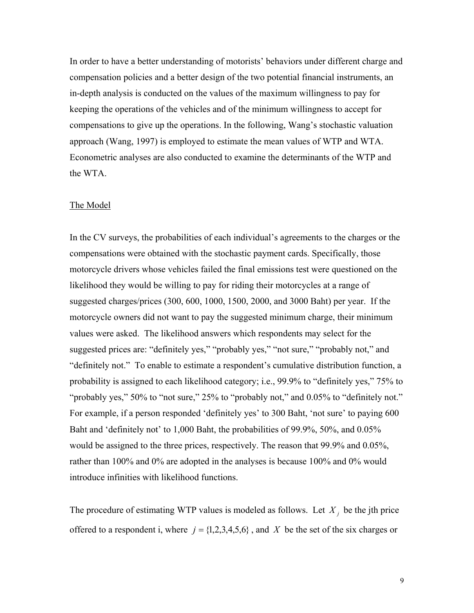In order to have a better understanding of motorists' behaviors under different charge and compensation policies and a better design of the two potential financial instruments, an in-depth analysis is conducted on the values of the maximum willingness to pay for keeping the operations of the vehicles and of the minimum willingness to accept for compensations to give up the operations. In the following, Wang's stochastic valuation approach (Wang, 1997) is employed to estimate the mean values of WTP and WTA. Econometric analyses are also conducted to examine the determinants of the WTP and the WTA.

### The Model

In the CV surveys, the probabilities of each individual's agreements to the charges or the compensations were obtained with the stochastic payment cards. Specifically, those motorcycle drivers whose vehicles failed the final emissions test were questioned on the likelihood they would be willing to pay for riding their motorcycles at a range of suggested charges/prices (300, 600, 1000, 1500, 2000, and 3000 Baht) per year. If the motorcycle owners did not want to pay the suggested minimum charge, their minimum values were asked. The likelihood answers which respondents may select for the suggested prices are: "definitely yes," "probably yes," "not sure," "probably not," and "definitely not." To enable to estimate a respondent's cumulative distribution function, a probability is assigned to each likelihood category; i.e., 99.9% to "definitely yes," 75% to "probably yes," 50% to "not sure," 25% to "probably not," and 0.05% to "definitely not." For example, if a person responded 'definitely yes' to 300 Baht, 'not sure' to paying 600 Baht and 'definitely not' to 1,000 Baht, the probabilities of 99.9%, 50%, and 0.05% would be assigned to the three prices, respectively. The reason that 99.9% and 0.05%, rather than 100% and 0% are adopted in the analyses is because 100% and 0% would introduce infinities with likelihood functions.

The procedure of estimating WTP values is modeled as follows. Let  $X_j$  be the jth price offered to a respondent i, where  $j = \{1, 2, 3, 4, 5, 6\}$ , and X be the set of the six charges or

9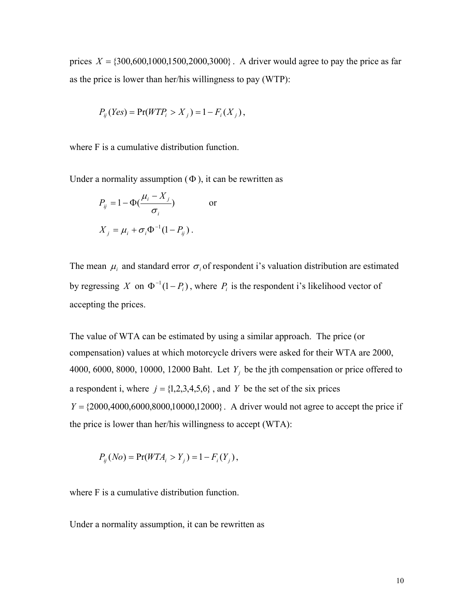prices  $X = \{300,600,1000,1500,2000,3000\}$ . A driver would agree to pay the price as far as the price is lower than her/his willingness to pay (WTP):

$$
P_{ij}(Yes) = \Pr(WTP_i > X_j) = 1 - F_i(X_j),
$$

where F is a cumulative distribution function.

Under a normality assumption  $(\Phi)$ , it can be rewritten as

$$
P_{ij} = 1 - \Phi(\frac{\mu_i - X_j}{\sigma_i}) \qquad \text{or}
$$

$$
X_j = \mu_i + \sigma_i \Phi^{-1}(1 - P_{ij}).
$$

The mean  $\mu_i$  and standard error  $\sigma_i$  of respondent i's valuation distribution are estimated by regressing *X* on  $\Phi^{-1}(1 - P_i)$ , where  $P_i$  is the respondent i's likelihood vector of accepting the prices.

The value of WTA can be estimated by using a similar approach. The price (or compensation) values at which motorcycle drivers were asked for their WTA are 2000, 4000, 6000, 8000, 10000, 12000 Baht. Let  $Y_i$  be the jth compensation or price offered to a respondent i, where  $j = \{1, 2, 3, 4, 5, 6\}$ , and *Y* be the set of the six prices  $Y = \{2000, 4000, 6000, 8000, 10000, 12000\}$ . A driver would not agree to accept the price if the price is lower than her/his willingness to accept (WTA):

$$
P_{ij}(No) = \Pr(WTA_i > Y_j) = 1 - F_i(Y_j),
$$

where F is a cumulative distribution function.

Under a normality assumption, it can be rewritten as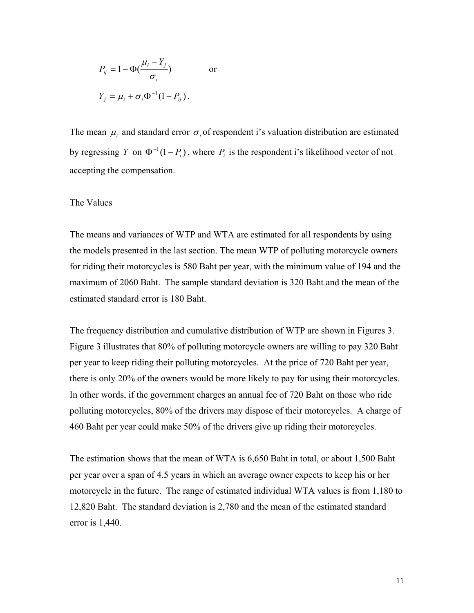$$
P_{ij} = 1 - \Phi(\frac{\mu_i - Y_j}{\sigma_i}) \qquad \text{or}
$$

$$
Y_j = \mu_i + \sigma_i \Phi^{-1} (1 - P_{ij}).
$$

The mean  $\mu_i$  and standard error  $\sigma_i$  of respondent i's valuation distribution are estimated by regressing *Y* on  $\Phi^{-1}(1 - P_i)$ , where  $P_i$  is the respondent i's likelihood vector of not accepting the compensation.

#### The Values

The means and variances of WTP and WTA are estimated for all respondents by using the models presented in the last section. The mean WTP of polluting motorcycle owners for riding their motorcycles is 580 Baht per year, with the minimum value of 194 and the maximum of 2060 Baht. The sample standard deviation is 320 Baht and the mean of the estimated standard error is 180 Baht.

The frequency distribution and cumulative distribution of WTP are shown in Figures 3. Figure 3 illustrates that 80% of polluting motorcycle owners are willing to pay 320 Baht per year to keep riding their polluting motorcycles. At the price of 720 Baht per year, there is only 20% of the owners would be more likely to pay for using their motorcycles. In other words, if the government charges an annual fee of 720 Baht on those who ride polluting motorcycles, 80% of the drivers may dispose of their motorcycles. A charge of 460 Baht per year could make 50% of the drivers give up riding their motorcycles.

The estimation shows that the mean of WTA is 6,650 Baht in total, or about 1,500 Baht per year over a span of 4.5 years in which an average owner expects to keep his or her motorcycle in the future. The range of estimated individual WTA values is from 1,180 to 12,820 Baht. The standard deviation is 2,780 and the mean of the estimated standard error is 1,440.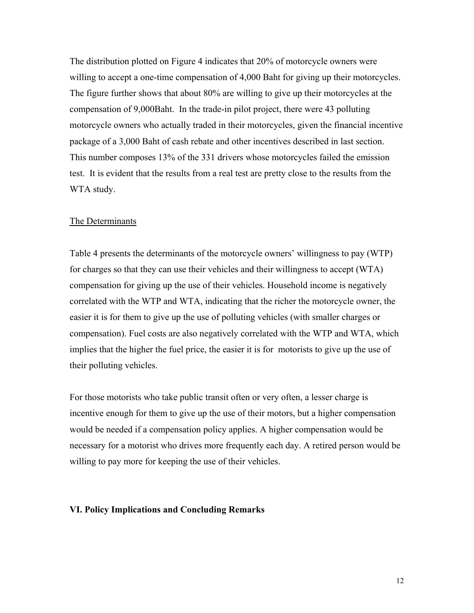The distribution plotted on Figure 4 indicates that 20% of motorcycle owners were willing to accept a one-time compensation of 4,000 Baht for giving up their motorcycles. The figure further shows that about 80% are willing to give up their motorcycles at the compensation of 9,000Baht. In the trade-in pilot project, there were 43 polluting motorcycle owners who actually traded in their motorcycles, given the financial incentive package of a 3,000 Baht of cash rebate and other incentives described in last section. This number composes 13% of the 331 drivers whose motorcycles failed the emission test. It is evident that the results from a real test are pretty close to the results from the WTA study.

# The Determinants

Table 4 presents the determinants of the motorcycle owners' willingness to pay (WTP) for charges so that they can use their vehicles and their willingness to accept (WTA) compensation for giving up the use of their vehicles. Household income is negatively correlated with the WTP and WTA, indicating that the richer the motorcycle owner, the easier it is for them to give up the use of polluting vehicles (with smaller charges or compensation). Fuel costs are also negatively correlated with the WTP and WTA, which implies that the higher the fuel price, the easier it is for motorists to give up the use of their polluting vehicles.

For those motorists who take public transit often or very often, a lesser charge is incentive enough for them to give up the use of their motors, but a higher compensation would be needed if a compensation policy applies. A higher compensation would be necessary for a motorist who drives more frequently each day. A retired person would be willing to pay more for keeping the use of their vehicles.

#### **VI. Policy Implications and Concluding Remarks**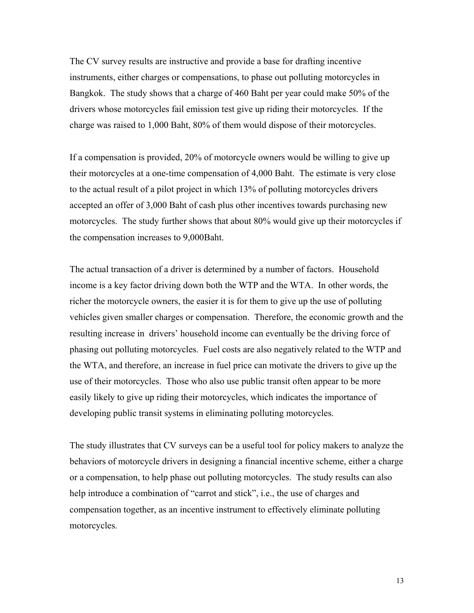The CV survey results are instructive and provide a base for drafting incentive instruments, either charges or compensations, to phase out polluting motorcycles in Bangkok. The study shows that a charge of 460 Baht per year could make 50% of the drivers whose motorcycles fail emission test give up riding their motorcycles. If the charge was raised to 1,000 Baht, 80% of them would dispose of their motorcycles.

If a compensation is provided, 20% of motorcycle owners would be willing to give up their motorcycles at a one-time compensation of 4,000 Baht. The estimate is very close to the actual result of a pilot project in which 13% of polluting motorcycles drivers accepted an offer of 3,000 Baht of cash plus other incentives towards purchasing new motorcycles. The study further shows that about 80% would give up their motorcycles if the compensation increases to 9,000Baht.

The actual transaction of a driver is determined by a number of factors. Household income is a key factor driving down both the WTP and the WTA. In other words, the richer the motorcycle owners, the easier it is for them to give up the use of polluting vehicles given smaller charges or compensation. Therefore, the economic growth and the resulting increase in drivers' household income can eventually be the driving force of phasing out polluting motorcycles. Fuel costs are also negatively related to the WTP and the WTA, and therefore, an increase in fuel price can motivate the drivers to give up the use of their motorcycles. Those who also use public transit often appear to be more easily likely to give up riding their motorcycles, which indicates the importance of developing public transit systems in eliminating polluting motorcycles.

The study illustrates that CV surveys can be a useful tool for policy makers to analyze the behaviors of motorcycle drivers in designing a financial incentive scheme, either a charge or a compensation, to help phase out polluting motorcycles. The study results can also help introduce a combination of "carrot and stick", i.e., the use of charges and compensation together, as an incentive instrument to effectively eliminate polluting motorcycles.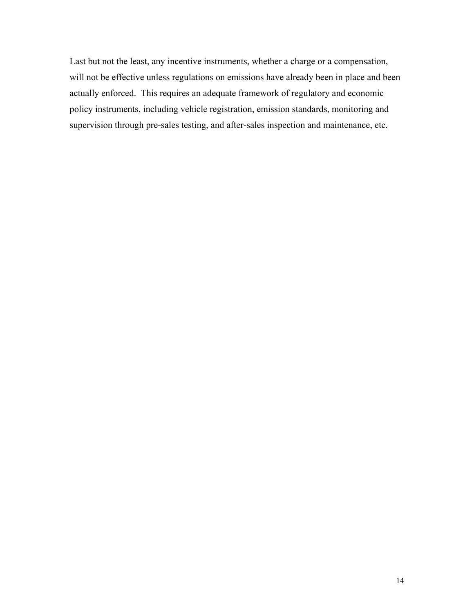Last but not the least, any incentive instruments, whether a charge or a compensation, will not be effective unless regulations on emissions have already been in place and been actually enforced. This requires an adequate framework of regulatory and economic policy instruments, including vehicle registration, emission standards, monitoring and supervision through pre-sales testing, and after-sales inspection and maintenance, etc.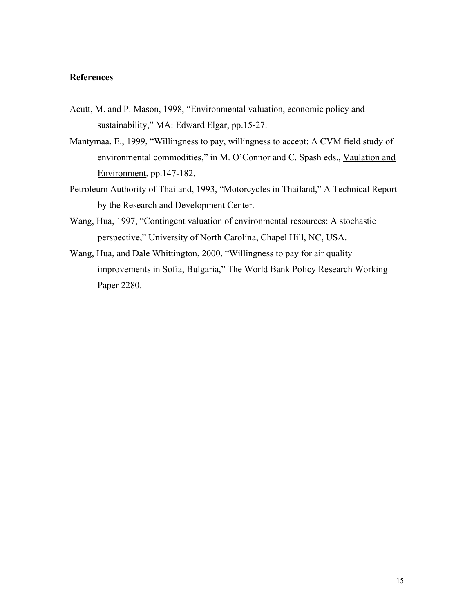# **References**

- Acutt, M. and P. Mason, 1998, "Environmental valuation, economic policy and sustainability," MA: Edward Elgar, pp.15-27.
- Mantymaa, E., 1999, "Willingness to pay, willingness to accept: A CVM field study of environmental commodities," in M. O'Connor and C. Spash eds., Vaulation and Environment, pp.147-182.
- Petroleum Authority of Thailand, 1993, "Motorcycles in Thailand," A Technical Report by the Research and Development Center.
- Wang, Hua, 1997, "Contingent valuation of environmental resources: A stochastic perspective," University of North Carolina, Chapel Hill, NC, USA.
- Wang, Hua, and Dale Whittington, 2000, "Willingness to pay for air quality improvements in Sofia, Bulgaria," The World Bank Policy Research Working Paper 2280.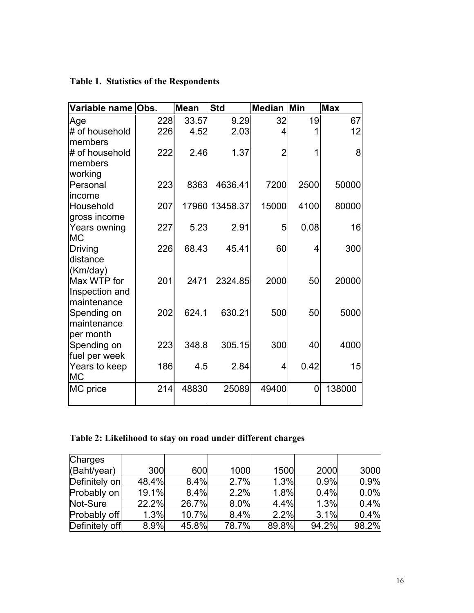| Variable name Obs.           |     | <b>Mean</b> | <b>Std</b>     | <b>Median Min</b> |      | <b>Max</b> |
|------------------------------|-----|-------------|----------------|-------------------|------|------------|
| Age                          | 228 | 33.57       | 9.29           | 32                | 19   | 67         |
| # of household               | 226 | 4.52        | 2.03           | 4                 |      | 12         |
| members                      |     |             |                |                   |      |            |
| # of household               | 222 | 2.46        | 1.37           | 2                 | 1    | 8          |
| members                      |     |             |                |                   |      |            |
| working                      |     |             |                |                   |      |            |
| Personal                     | 223 | 8363        | 4636.41        | 7200              | 2500 | 50000      |
| income                       |     |             |                |                   |      |            |
| Household                    | 207 |             | 17960 13458.37 | 15000             | 4100 | 80000      |
| gross income<br>Years owning | 227 | 5.23        | 2.91           | 5                 | 0.08 | 16         |
| <b>MC</b>                    |     |             |                |                   |      |            |
| Driving                      | 226 | 68.43       | 45.41          | 60                | 4    | 300        |
| distance                     |     |             |                |                   |      |            |
| (Km/day)                     |     |             |                |                   |      |            |
| Max WTP for                  | 201 | 2471        | 2324.85        | 2000              | 50   | 20000      |
| Inspection and               |     |             |                |                   |      |            |
| maintenance                  |     |             |                |                   |      |            |
| Spending on                  | 202 | 624.1       | 630.21         | 500               | 50   | 5000       |
| maintenance                  |     |             |                |                   |      |            |
| per month                    |     |             |                |                   |      |            |
| Spending on                  | 223 | 348.8       | 305.15         | 300               | 40   | 4000       |
| fuel per week                |     |             |                |                   |      |            |
| Years to keep                | 186 | 4.5         | 2.84           | $\overline{4}$    | 0.42 | 15         |
| <b>MC</b>                    |     |             |                |                   |      |            |
| MC price                     | 214 | 48830       | 25089          | 49400             | 0    | 138000     |
|                              |     |             |                |                   |      |            |

|  |  |  | <b>Table 1. Statistics of the Respondents</b> |
|--|--|--|-----------------------------------------------|
|--|--|--|-----------------------------------------------|

# **Table 2: Likelihood to stay on road under different charges**

| <b>Charges</b> |       |       |       |       |       |       |
|----------------|-------|-------|-------|-------|-------|-------|
| (Baht/year)    | 300   | 600   | 1000  | 1500  | 2000  | 3000  |
| Definitely on  | 48.4% | 8.4%  | 2.7%  | 1.3%  | 0.9%  | 0.9%  |
| Probably on    | 19.1% | 8.4%  | 2.2%  | 1.8%  | 0.4%  | 0.0%  |
| Not-Sure       | 22.2% | 26.7% | 8.0%  | 4.4%  | 1.3%  | 0.4%  |
| Probably off   | 1.3%  | 10.7% | 8.4%  | 2.2%  | 3.1%  | 0.4%  |
| Definitely off | 8.9%  | 45.8% | 78.7% | 89.8% | 94.2% | 98.2% |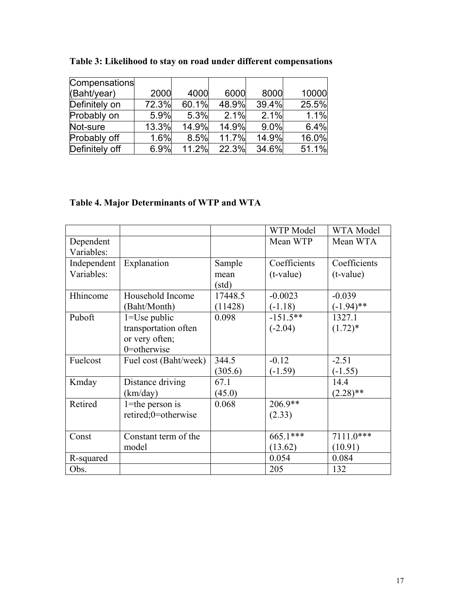| Compensations  |       |       |       |       |       |
|----------------|-------|-------|-------|-------|-------|
| (Baht/year)    | 2000  | 4000  | 6000  | 8000  | 10000 |
| Definitely on  | 72.3% | 60.1% | 48.9% | 39.4% | 25.5% |
| Probably on    | 5.9%  | 5.3%  | 2.1%  | 2.1%  | 1.1%  |
| Not-sure       | 13.3% | 14.9% | 14.9% | 9.0%  | 6.4%  |
| Probably off   | 1.6%  | 8.5%  | 11.7% | 14.9% | 16.0% |
| Definitely off | 6.9%  | 11.2% | 22.3% | 34.6% | 51.1% |

**Table 3: Likelihood to stay on road under different compensations** 

# **Table 4. Major Determinants of WTP and WTA**

|             |                       |         | WTP Model    | WTA Model    |
|-------------|-----------------------|---------|--------------|--------------|
| Dependent   |                       |         | Mean WTP     | Mean WTA     |
| Variables:  |                       |         |              |              |
| Independent | Explanation           | Sample  | Coefficients | Coefficients |
| Variables:  |                       | mean    | $(t-value)$  | $(t-value)$  |
|             |                       | (std)   |              |              |
| Hhincome    | Household Income      | 17448.5 | $-0.0023$    | $-0.039$     |
|             | (Baht/Month)          | (11428) | $(-1.18)$    | $(-1.94)$ ** |
| Puboft      | $1 = Use public$      | 0.098   | $-151.5**$   | 1327.1       |
|             | transportation often  |         | $(-2.04)$    | $(1.72)^*$   |
|             | or very often;        |         |              |              |
|             | 0=otherwise           |         |              |              |
| Fuelcost    | Fuel cost (Baht/week) | 344.5   | $-0.12$      | $-2.51$      |
|             |                       | (305.6) | $(-1.59)$    | $(-1.55)$    |
| Kmday       | Distance driving      | 67.1    |              | 14.4         |
|             | (km/day)              | (45.0)  |              | $(2.28)$ **  |
| Retired     | $1$ =the person is    | 0.068   | $206.9**$    |              |
|             | retired;0=otherwise   |         | (2.33)       |              |
|             |                       |         |              |              |
| Const       | Constant term of the  |         | 665.1***     | $7111.0***$  |
|             | model                 |         | (13.62)      | (10.91)      |
| R-squared   |                       |         | 0.054        | 0.084        |
| Obs.        |                       |         | 205          | 132          |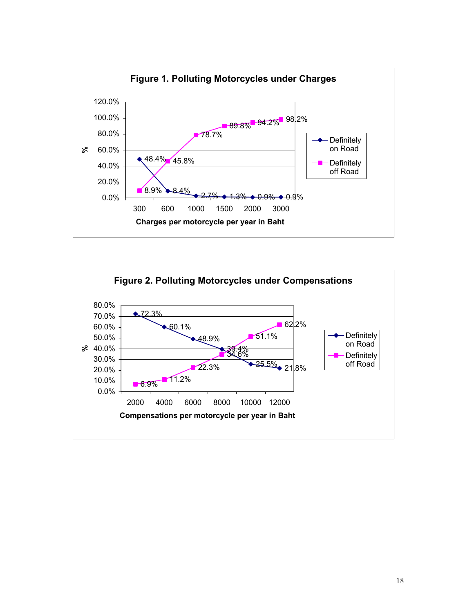